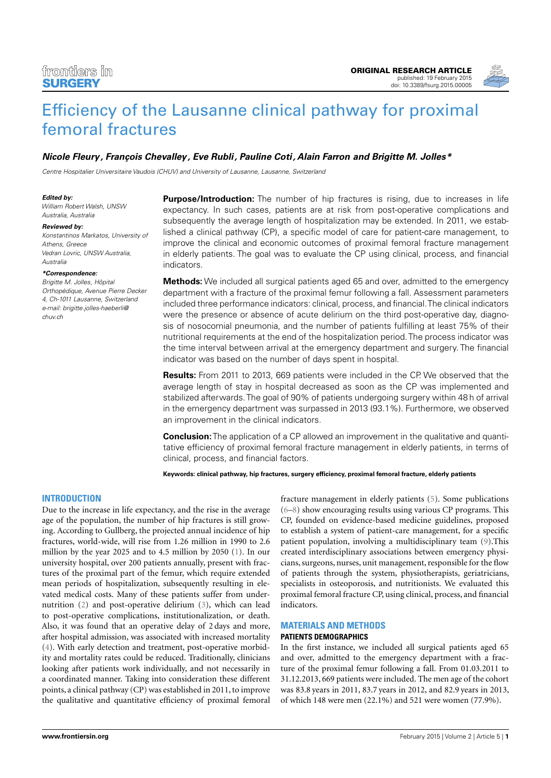

# [Efficiency of the Lausanne clinical pathway for proximal](http://www.frontiersin.org/Journal/10.3389/fsurg.2015.00005/abstract) [femoral fractures](http://www.frontiersin.org/Journal/10.3389/fsurg.2015.00005/abstract)

# **[Nicole Fleury,](http://loop.frontiersin.org/people/211171/overview) [François Chevalley,](http://loop.frontiersin.org/people/211324/overview) [Eve Rubli,](http://www.frontiersin.org/people/u/209727) Pauline Coti, [Alain Farron](http://loop.frontiersin.org/people/211282/overview) and [Brigitte M. Jolles\\*](http://www.frontiersin.org/people/u/131220)**

Centre Hospitalier Universitaire Vaudois (CHUV) and University of Lausanne, Lausanne, Switzerland

#### **Edited by:**

William Robert Walsh, UNSW Australia, Australia

#### **Reviewed by:**

Konstantinos Markatos, University of Athens, Greece Vedran Lovric, UNSW Australia, Australia

#### **\*Correspondence:**

Brigitte M. Jolles, Hôpital Orthopédique, Avenue Pierre Decker 4, Ch-1011 Lausanne, Switzerland [e-mail: brigitte.jolles-haeberli@](mailto: brigitte.jolles-haeberli@chuv.ch) [chuv.ch](mailto: brigitte.jolles-haeberli@chuv.ch)

**Purpose/Introduction:** The number of hip fractures is rising, due to increases in life expectancy. In such cases, patients are at risk from post-operative complications and subsequently the average length of hospitalization may be extended. In 2011, we established a clinical pathway (CP), a specific model of care for patient-care management, to improve the clinical and economic outcomes of proximal femoral fracture management in elderly patients. The goal was to evaluate the CP using clinical, process, and financial indicators.

**Methods:** We included all surgical patients aged 65 and over, admitted to the emergency department with a fracture of the proximal femur following a fall. Assessment parameters included three performance indicators: clinical, process, and financial.The clinical indicators were the presence or absence of acute delirium on the third post-operative day, diagnosis of nosocomial pneumonia, and the number of patients fulfilling at least 75% of their nutritional requirements at the end of the hospitalization period.The process indicator was the time interval between arrival at the emergency department and surgery. The financial indicator was based on the number of days spent in hospital.

**Results:** From 2011 to 2013, 669 patients were included in the CP. We observed that the average length of stay in hospital decreased as soon as the CP was implemented and stabilized afterwards.The goal of 90% of patients undergoing surgery within 48 h of arrival in the emergency department was surpassed in 2013 (93.1%). Furthermore, we observed an improvement in the clinical indicators.

**Conclusion:** The application of a CP allowed an improvement in the qualitative and quantitative efficiency of proximal femoral fracture management in elderly patients, in terms of clinical, process, and financial factors.

**Keywords: clinical pathway, hip fractures, surgery efficiency, proximal femoral fracture, elderly patients**

# **INTRODUCTION**

Due to the increase in life expectancy, and the rise in the average age of the population, the number of hip fractures is still growing. According to Gullberg, the projected annual incidence of hip fractures, world-wide, will rise from 1.26 million in 1990 to 2.6 million by the year 2025 and to 4.5 million by 2050 [\(1\)](#page-4-0)*.* In our university hospital, over 200 patients annually, present with fractures of the proximal part of the femur, which require extended mean periods of hospitalization, subsequently resulting in elevated medical costs. Many of these patients suffer from undernutrition [\(2\)](#page-4-1) and post-operative delirium [\(3\)](#page-4-2), which can lead to post-operative complications, institutionalization, or death. Also, it was found that an operative delay of 2 days and more, after hospital admission, was associated with increased mortality [\(4\)](#page-4-3). With early detection and treatment, post-operative morbidity and mortality rates could be reduced. Traditionally, clinicians looking after patients work individually, and not necessarily in a coordinated manner. Taking into consideration these different points, a clinical pathway (CP) was established in 2011, to improve the qualitative and quantitative efficiency of proximal femoral

fracture management in elderly patients [\(5\)](#page-4-4). Some publications [\(6](#page-4-5)[–8\)](#page-4-6) show encouraging results using various CP programs. This CP, founded on evidence-based medicine guidelines, proposed to establish a system of patient-care management, for a specific patient population, involving a multidisciplinary team [\(9\)](#page-4-7).This created interdisciplinary associations between emergency physicians, surgeons, nurses, unit management, responsible for the flow of patients through the system, physiotherapists, geriatricians, specialists in osteoporosis, and nutritionists. We evaluated this proximal femoral fracture CP, using clinical, process, and financial indicators.

# **MATERIALS AND METHODS**

# **PATIENTS DEMOGRAPHICS**

In the first instance, we included all surgical patients aged 65 and over, admitted to the emergency department with a fracture of the proximal femur following a fall. From 01.03.2011 to 31.12.2013, 669 patients were included. The men age of the cohort was 83.8 years in 2011, 83.7 years in 2012, and 82.9 years in 2013, of which 148 were men (22.1%) and 521 were women (77.9%).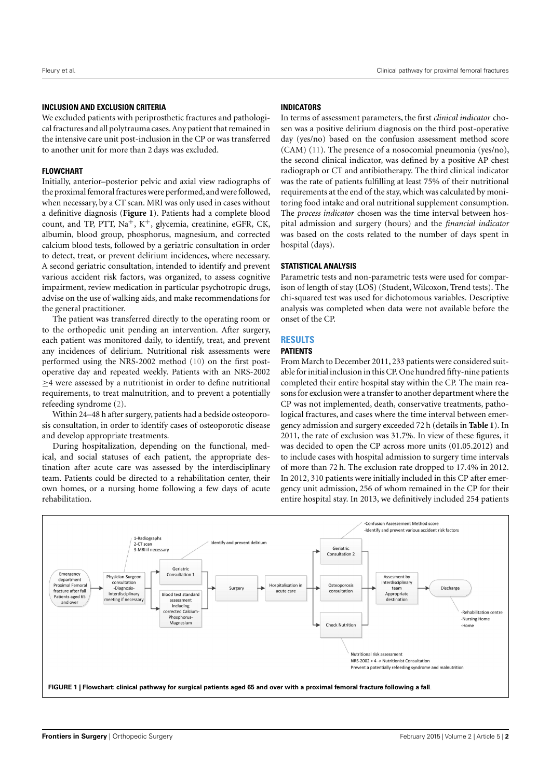# **INCLUSION AND EXCLUSION CRITERIA**

We excluded patients with periprosthetic fractures and pathological fractures and all polytrauma cases. Any patient that remained in the intensive care unit post-inclusion in the CP or was transferred to another unit for more than 2 days was excluded.

# **FLOWCHART**

Initially, anterior–posterior pelvic and axial view radiographs of the proximal femoral fractures were performed, and were followed, when necessary, by a CT scan. MRI was only used in cases without a definitive diagnosis (**[Figure 1](#page-1-0)**). Patients had a complete blood count, and TP, PTT,  $Na^+$ ,  $K^+$ , glycemia, creatinine, eGFR, CK, albumin, blood group, phosphorus, magnesium, and corrected calcium blood tests, followed by a geriatric consultation in order to detect, treat, or prevent delirium incidences, where necessary. A second geriatric consultation, intended to identify and prevent various accident risk factors, was organized, to assess cognitive impairment, review medication in particular psychotropic drugs, advise on the use of walking aids, and make recommendations for the general practitioner.

The patient was transferred directly to the operating room or to the orthopedic unit pending an intervention. After surgery, each patient was monitored daily, to identify, treat, and prevent any incidences of delirium. Nutritional risk assessments were performed using the NRS-2002 method [\(10\)](#page-4-8) on the first postoperative day and repeated weekly. Patients with an NRS-2002  $\geq$ 4 were assessed by a nutritionist in order to define nutritional requirements, to treat malnutrition, and to prevent a potentially refeeding syndrome [\(2\)](#page-4-1).

Within 24–48 h after surgery, patients had a bedside osteoporosis consultation, in order to identify cases of osteoporotic disease and develop appropriate treatments.

During hospitalization, depending on the functional, medical, and social statuses of each patient, the appropriate destination after acute care was assessed by the interdisciplinary team. Patients could be directed to a rehabilitation center, their own homes, or a nursing home following a few days of acute rehabilitation.

# **INDICATORS**

In terms of assessment parameters, the first *clinical indicator* chosen was a positive delirium diagnosis on the third post-operative day (yes/no) based on the confusion assessment method score (CAM) [\(11\)](#page-4-9). The presence of a nosocomial pneumonia (yes/no), the second clinical indicator, was defined by a positive AP chest radiograph or CT and antibiotherapy. The third clinical indicator was the rate of patients fulfilling at least 75% of their nutritional requirements at the end of the stay, which was calculated by monitoring food intake and oral nutritional supplement consumption. The *process indicator* chosen was the time interval between hospital admission and surgery (hours) and the *financial indicator* was based on the costs related to the number of days spent in hospital (days).

# **STATISTICAL ANALYSIS**

Parametric tests and non-parametric tests were used for comparison of length of stay (LOS) (Student, Wilcoxon, Trend tests). The chi-squared test was used for dichotomous variables. Descriptive analysis was completed when data were not available before the onset of the CP.

# **RESULTS**

# **PATIENTS**

From March to December 2011, 233 patients were considered suitable for initial inclusion in this CP. One hundred fifty-nine patients completed their entire hospital stay within the CP. The main reasons for exclusion were a transfer to another department where the CP was not implemented, death, conservative treatments, pathological fractures, and cases where the time interval between emergency admission and surgery exceeded 72 h (details in **[Table 1](#page-2-0)**). In 2011, the rate of exclusion was 31.7%. In view of these figures, it was decided to open the CP across more units (01.05.2012) and to include cases with hospital admission to surgery time intervals of more than 72 h. The exclusion rate dropped to 17.4% in 2012. In 2012, 310 patients were initially included in this CP after emergency unit admission, 256 of whom remained in the CP for their entire hospital stay. In 2013, we definitively included 254 patients

<span id="page-1-0"></span>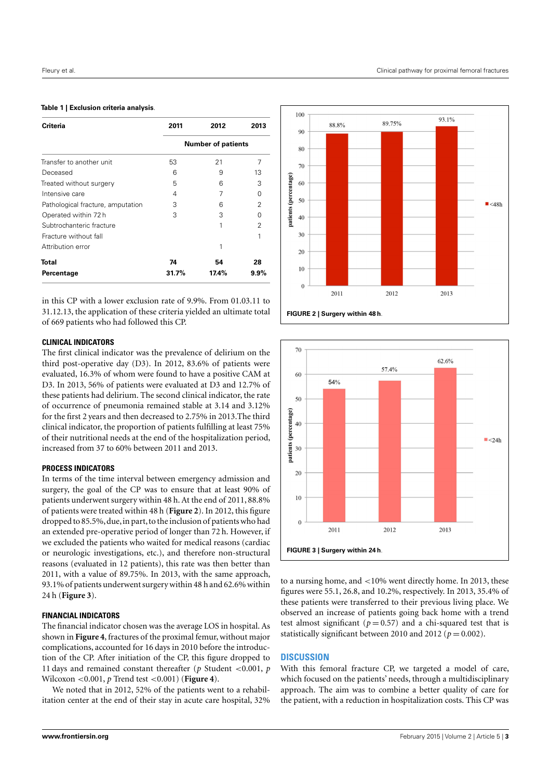#### <span id="page-2-0"></span>**Table 1 | Exclusion criteria analysis**.

| Criteria                          | 2011                      | 2012  | 2013    |
|-----------------------------------|---------------------------|-------|---------|
|                                   | <b>Number of patients</b> |       |         |
| Transfer to another unit          | 53                        | 21    | 7       |
| Deceased                          | 6                         | 9     | 13      |
| Treated without surgery           | 5                         | 6     | 3       |
| Intensive care                    | 4                         |       | 0       |
| Pathological fracture, amputation | З                         | 6     | 2       |
| Operated within 72h               | З                         | З     | 0       |
| Subtrochanteric fracture          |                           | 1     | 2       |
| Fracture without fall             |                           |       |         |
| Attribution error                 |                           | 1     |         |
| Total                             | 74                        | 54    | 28      |
| Percentage                        | 31.7%                     | 17.4% | $9.9\%$ |

in this CP with a lower exclusion rate of 9.9%. From 01.03.11 to 31.12.13, the application of these criteria yielded an ultimate total of 669 patients who had followed this CP.

## **CLINICAL INDICATORS**

The first clinical indicator was the prevalence of delirium on the third post-operative day (D3). In 2012, 83.6% of patients were evaluated, 16.3% of whom were found to have a positive CAM at D3. In 2013, 56% of patients were evaluated at D3 and 12.7% of these patients had delirium. The second clinical indicator, the rate of occurrence of pneumonia remained stable at 3.14 and 3.12% for the first 2 years and then decreased to 2.75% in 2013.The third clinical indicator, the proportion of patients fulfilling at least 75% of their nutritional needs at the end of the hospitalization period, increased from 37 to 60% between 2011 and 2013.

# **PROCESS INDICATORS**

In terms of the time interval between emergency admission and surgery, the goal of the CP was to ensure that at least 90% of patients underwent surgery within 48 h. At the end of 2011, 88.8% of patients were treated within 48 h (**[Figure 2](#page-2-1)**). In 2012, this figure dropped to 85.5%, due, in part, to the inclusion of patients who had an extended pre-operative period of longer than 72 h. However, if we excluded the patients who waited for medical reasons (cardiac or neurologic investigations, etc.), and therefore non-structural reasons (evaluated in 12 patients), this rate was then better than 2011, with a value of 89.75%. In 2013, with the same approach, 93.1% of patients underwent surgery within 48 h and 62.6% within 24 h (**[Figure 3](#page-2-2)**).

## **FINANCIAL INDICATORS**

The financial indicator chosen was the average LOS in hospital. As shown in **[Figure 4](#page-3-0)**, fractures of the proximal femur, without major complications, accounted for 16 days in 2010 before the introduction of the CP. After initiation of the CP, this figure dropped to 11 days and remained constant thereafter (*p* Student <0.001, *p* Wilcoxon <0.001, *p* Trend test <0.001) (**[Figure 4](#page-3-0)**).

We noted that in 2012, 52% of the patients went to a rehabilitation center at the end of their stay in acute care hospital, 32%



<span id="page-2-1"></span>

<span id="page-2-2"></span>to a nursing home, and <10% went directly home. In 2013, these figures were 55.1, 26.8, and 10.2%, respectively. In 2013, 35.4% of these patients were transferred to their previous living place. We observed an increase of patients going back home with a trend test almost significant ( $p = 0.57$ ) and a chi-squared test that is statistically significant between 2010 and 2012 ( $p = 0.002$ ).

## **DISCUSSION**

With this femoral fracture CP, we targeted a model of care, which focused on the patients' needs, through a multidisciplinary approach. The aim was to combine a better quality of care for the patient, with a reduction in hospitalization costs. This CP was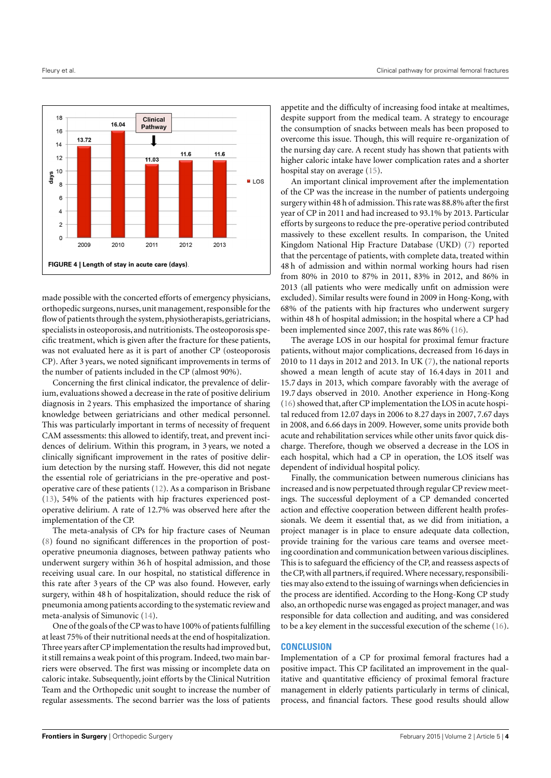

<span id="page-3-0"></span>made possible with the concerted efforts of emergency physicians, orthopedic surgeons, nurses, unit management, responsible for the flow of patients through the system, physiotherapists, geriatricians, specialists in osteoporosis, and nutritionists. The osteoporosis specific treatment, which is given after the fracture for these patients, was not evaluated here as it is part of another CP (osteoporosis CP). After 3 years, we noted significant improvements in terms of the number of patients included in the CP (almost 90%).

Concerning the first clinical indicator, the prevalence of delirium, evaluations showed a decrease in the rate of positive delirium diagnosis in 2 years. This emphasized the importance of sharing knowledge between geriatricians and other medical personnel. This was particularly important in terms of necessity of frequent CAM assessments: this allowed to identify, treat, and prevent incidences of delirium. Within this program, in 3 years, we noted a clinically significant improvement in the rates of positive delirium detection by the nursing staff. However, this did not negate the essential role of geriatricians in the pre-operative and postoperative care of these patients [\(12\)](#page-4-10). As a comparison in Brisbane [\(13\)](#page-4-11), 54% of the patients with hip fractures experienced postoperative delirium. A rate of 12.7% was observed here after the implementation of the CP.

The meta-analysis of CPs for hip fracture cases of Neuman [\(8\)](#page-4-6) found no significant differences in the proportion of postoperative pneumonia diagnoses, between pathway patients who underwent surgery within 36 h of hospital admission, and those receiving usual care. In our hospital, no statistical difference in this rate after 3 years of the CP was also found. However, early surgery, within 48 h of hospitalization, should reduce the risk of pneumonia among patients according to the systematic review and meta-analysis of Simunovic [\(14\)](#page-4-12).

One of the goals of the CP was to have 100% of patients fulfilling at least 75% of their nutritional needs at the end of hospitalization. Three years after CP implementation the results had improved but, it still remains a weak point of this program. Indeed, two main barriers were observed. The first was missing or incomplete data on caloric intake. Subsequently, joint efforts by the Clinical Nutrition Team and the Orthopedic unit sought to increase the number of regular assessments. The second barrier was the loss of patients

appetite and the difficulty of increasing food intake at mealtimes, despite support from the medical team. A strategy to encourage the consumption of snacks between meals has been proposed to overcome this issue. Though, this will require re-organization of the nursing day care. A recent study has shown that patients with higher caloric intake have lower complication rates and a shorter hospital stay on average [\(15\)](#page-4-13).

An important clinical improvement after the implementation of the CP was the increase in the number of patients undergoing surgery within 48 h of admission. This rate was 88.8% after the first year of CP in 2011 and had increased to 93.1% by 2013. Particular efforts by surgeons to reduce the pre-operative period contributed massively to these excellent results. In comparison, the United Kingdom National Hip Fracture Database (UKD) [\(7\)](#page-4-14) reported that the percentage of patients, with complete data, treated within 48 h of admission and within normal working hours had risen from 80% in 2010 to 87% in 2011, 83% in 2012, and 86% in 2013 (all patients who were medically unfit on admission were excluded). Similar results were found in 2009 in Hong-Kong, with 68% of the patients with hip fractures who underwent surgery within 48 h of hospital admission; in the hospital where a CP had been implemented since 2007, this rate was 86% [\(16\)](#page-4-15).

The average LOS in our hospital for proximal femur fracture patients, without major complications, decreased from 16 days in 2010 to 11 days in 2012 and 2013. In UK [\(7\)](#page-4-14), the national reports showed a mean length of acute stay of 16.4 days in 2011 and 15.7 days in 2013, which compare favorably with the average of 19.7 days observed in 2010. Another experience in Hong-Kong [\(16\)](#page-4-15) showed that, after CP implementation the LOS in acute hospital reduced from 12.07 days in 2006 to 8.27 days in 2007, 7.67 days in 2008, and 6.66 days in 2009. However, some units provide both acute and rehabilitation services while other units favor quick discharge. Therefore, though we observed a decrease in the LOS in each hospital, which had a CP in operation, the LOS itself was dependent of individual hospital policy.

Finally, the communication between numerous clinicians has increased and is now perpetuated through regular CP review meetings. The successful deployment of a CP demanded concerted action and effective cooperation between different health professionals. We deem it essential that, as we did from initiation, a project manager is in place to ensure adequate data collection, provide training for the various care teams and oversee meeting coordination and communication between various disciplines. This is to safeguard the efficiency of the CP, and reassess aspects of the CP, with all partners, if required. Where necessary, responsibilities may also extend to the issuing of warnings when deficiencies in the process are identified. According to the Hong-Kong CP study also, an orthopedic nurse was engaged as project manager, and was responsible for data collection and auditing, and was considered to be a key element in the successful execution of the scheme [\(16\)](#page-4-15).

# **CONCLUSION**

Implementation of a CP for proximal femoral fractures had a positive impact. This CP facilitated an improvement in the qualitative and quantitative efficiency of proximal femoral fracture management in elderly patients particularly in terms of clinical, process, and financial factors. These good results should allow